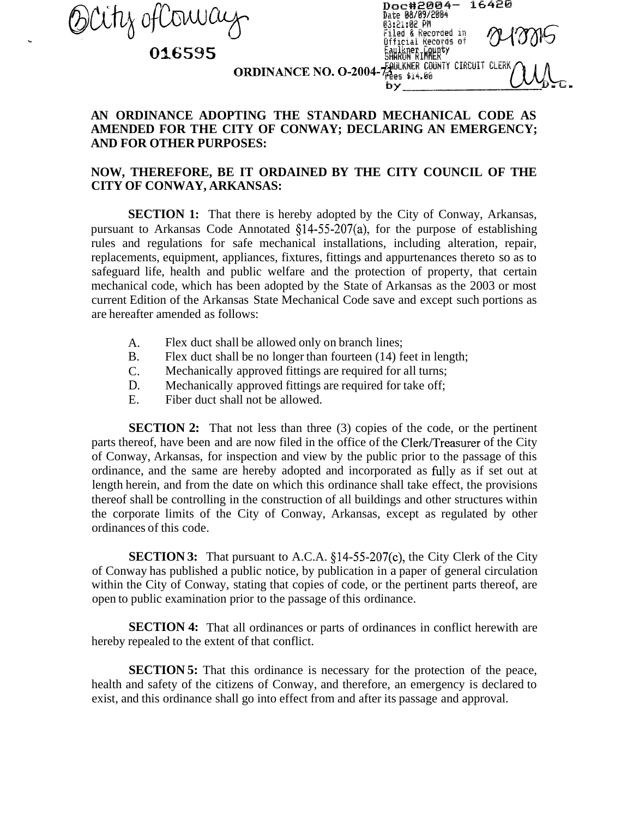DCity ofCoura

**h** 

## 016595

| Doc#2004- 16420<br>Date 08/09/2004   |  |
|--------------------------------------|--|
| 03:21:02 PM<br>Filed & Recorded in   |  |
| Official Records of<br>Expert County |  |
| OO4-7 BULKNER COUNTY CIRCUIT CLERK   |  |
| bν                                   |  |

## **ORDINANCE NO. O-20**

## **AN ORDINANCE ADOPTING THE STANDARD MECHANICAL CODE AS AMENDED FOR THE CITY OF CONWAY; DECLARING AN EMERGENCY; AND FOR OTHER PURPOSES:**

## **NOW, THEREFORE, BE IT ORDAINED BY THE CITY COUNCIL OF THE CITY OF CONWAY, ARKANSAS:**

**SECTION 1:** That there is hereby adopted by the City of Conway, Arkansas, pursuant to Arkansas Code Annotated  $\S$ 14-55-207(a), for the purpose of establishing rules and regulations for safe mechanical installations, including alteration, repair, replacements, equipment, appliances, fixtures, fittings and appurtenances thereto so as to safeguard life, health and public welfare and the protection of property, that certain mechanical code, which has been adopted by the State of Arkansas as the 2003 or most current Edition of the Arkansas State Mechanical Code save and except such portions as are hereafter amended as follows:

- A. Flex duct shall be allowed only on branch lines;
- B. Flex duct shall be no longer than fourteen (14) feet in length;
- C. Mechanically approved fittings are required for all turns;
- D. Mechanically approved fittings are required for take off;
- E. Fiber duct shall not be allowed.

**SECTION 2:** That not less than three (3) copies of the code, or the pertinent parts thereof, have been and are now filed in the office of the Clerk/Treasurer of the City of Conway, Arkansas, for inspection and view by the public prior to the passage of this ordinance, and the same are hereby adopted and incorporated as fblly as if set out at length herein, and from the date on which this ordinance shall take effect, the provisions thereof shall be controlling in the construction of all buildings and other structures within the corporate limits of the City of Conway, Arkansas, except as regulated by other ordinances of this code.

**SECTION 3:** That pursuant to A.C.A. §14-55-207(c), the City Clerk of the City of Conway has published a public notice, by publication in a paper of general circulation within the City of Conway, stating that copies of code, or the pertinent parts thereof, are open to public examination prior to the passage of this ordinance.

**SECTION 4:** That all ordinances or parts of ordinances in conflict herewith are hereby repealed to the extent of that conflict.

**SECTION 5:** That this ordinance is necessary for the protection of the peace, health and safety of the citizens of Conway, and therefore, an emergency is declared to exist, and this ordinance shall go into effect from and after its passage and approval.